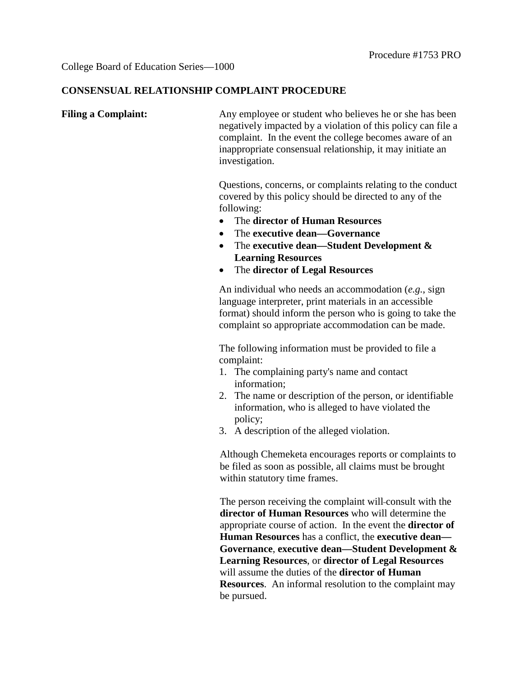## **CONSENSUAL RELATIONSHIP COMPLAINT PROCEDURE**

| <b>Filing a Complaint:</b> | Any employee or student who believes he or she has been<br>negatively impacted by a violation of this policy can file a<br>complaint. In the event the college becomes aware of an<br>inappropriate consensual relationship, it may initiate an<br>investigation.                                                                                          |
|----------------------------|------------------------------------------------------------------------------------------------------------------------------------------------------------------------------------------------------------------------------------------------------------------------------------------------------------------------------------------------------------|
|                            | Questions, concerns, or complaints relating to the conduct<br>covered by this policy should be directed to any of the<br>following:<br>The director of Human Resources<br>$\bullet$<br>The executive dean-Governance<br>$\bullet$<br>The executive dean-Student Development &<br>$\bullet$<br><b>Learning Resources</b><br>The director of Legal Resources |
|                            | An individual who needs an accommodation $(e.g.,$ sign<br>language interpreter, print materials in an accessible<br>format) should inform the person who is going to take the<br>complaint so appropriate accommodation can be made.                                                                                                                       |
|                            | The following information must be provided to file a<br>complaint:<br>1. The complaining party's name and contact<br>information;<br>2. The name or description of the person, or identifiable<br>information, who is alleged to have violated the<br>policy;<br>3. A description of the alleged violation.                                                |
|                            | Although Chemeketa encourages reports or complaints to<br>be filed as soon as possible, all claims must be brought<br>within statutory time frames.                                                                                                                                                                                                        |
|                            | The person receiving the complaint will-consult with the                                                                                                                                                                                                                                                                                                   |

**director of Human Resources** who will determine the appropriate course of action. In the event the **director of Human Resources** has a conflict, the **executive dean— Governance**, **executive dean—Student Development & Learning Resources**, or **director of Legal Resources** will assume the duties of the **director of Human Resources**. An informal resolution to the complaint may be pursued.